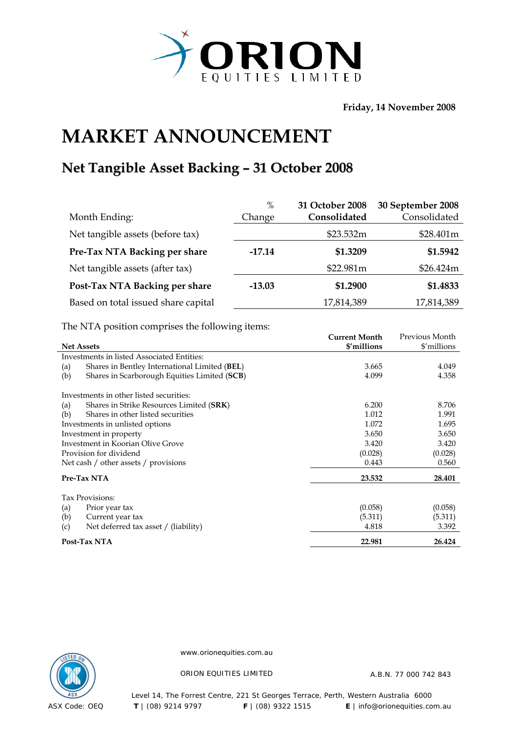

**Friday, 14 November 2008** 

## **MARKET ANNOUNCEMENT**

## **Net Tangible Asset Backing – 31 October 2008**

|                                     | $\%$     | 31 October 2008 | 30 September 2008 |
|-------------------------------------|----------|-----------------|-------------------|
| Month Ending:                       | Change   | Consolidated    | Consolidated      |
| Net tangible assets (before tax)    |          | \$23.532m       | \$28.401m         |
| Pre-Tax NTA Backing per share       | $-17.14$ | \$1.3209        | \$1.5942          |
| Net tangible assets (after tax)     |          | \$22.981m       | \$26.424m         |
| Post-Tax NTA Backing per share      | $-13.03$ | \$1.2900        | \$1.4833          |
| Based on total issued share capital |          | 17,814,389      | 17,814,389        |

The NTA position comprises the following items:

|                   |                                               | <b>Current Month</b> | Previous Month |
|-------------------|-----------------------------------------------|----------------------|----------------|
| <b>Net Assets</b> |                                               | \$'millions          | \$'millions    |
|                   | Investments in listed Associated Entities:    |                      |                |
| (a)               | Shares in Bentley International Limited (BEL) | 3.665                | 4.049          |
| (b)               | Shares in Scarborough Equities Limited (SCB)  | 4.099                | 4.358          |
|                   | Investments in other listed securities:       |                      |                |
| (a)               | Shares in Strike Resources Limited (SRK)      | 6.200                | 8.706          |
| (b)               | Shares in other listed securities             | 1.012                | 1.991          |
|                   | Investments in unlisted options               | 1.072                | 1.695          |
|                   | Investment in property                        | 3.650                | 3.650          |
|                   | Investment in Koorian Olive Grove             | 3.420                | 3.420          |
|                   | Provision for dividend                        | (0.028)              | (0.028)        |
|                   | Net cash / other assets / provisions          | 0.443                | 0.560          |
|                   | Pre-Tax NTA                                   | 23.532               | 28.401         |
|                   | Tax Provisions:                               |                      |                |
| (a)               | Prior year tax                                | (0.058)              | (0.058)        |
| (b)               | Current year tax                              | (5.311)              | (5.311)        |
| (c)               | Net deferred tax asset / (liability)          | 4.818                | 3.392          |
|                   | Post-Tax NTA                                  | 22.981               | 26.424         |



www.orionequities.com.au

ORION EQUITIES LIMITED A.B.N. 77 000 742 843

Level 14, The Forrest Centre, 221 St Georges Terrace, Perth, Western Australia 6000 ASX Code: OEQ **T** | (08) 9214 9797 **F** | (08) 9322 1515 **E** | info@orionequities.com.au